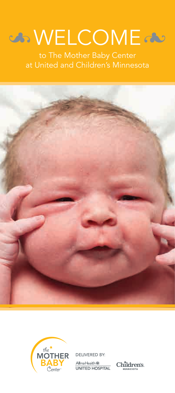# COME COME

to The Mother Baby Center at United and Children's Minnesota





DELIVERED BY:

Allina Health « Allina Health W.<br>UNITED HOSPITAL

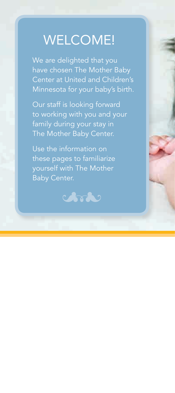## WELCOME!

We are delighted that you have chosen The Mother Baby Center at United and Children's Minnesota for your baby's birth.

Our staff is looking forward to working with you and your family during your stay in The Mother Baby Center.

Use the information on these pages to familiarize yourself with The Mother Baby Center.

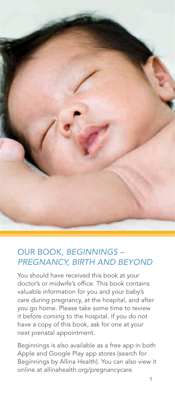

## OUR BOOK, *BEGINNINGS – PREGNANCY, BIRTH AND BEYOND*

You should have received this book at your doctor's or midwife's office. This book contains valuable information for you and your baby's care during pregnancy, at the hospital, and after you go home. Please take some time to review it before coming to the hospital. If you do not have a copy of this book, ask for one at your next prenatal appointment.

Beginnings is also available as a free app in both Apple and Google Play app stores (search for Beginnings by Allina Health). You can also view it online at allinahealth.org/pregnancycare.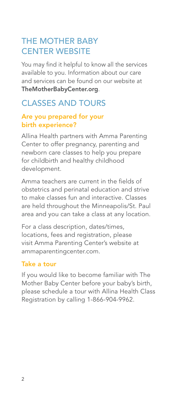## THE MOTHER BABY CENTER WEBSITE

You may find it helpful to know all the services available to you. Information about our care and services can be found on our website at TheMotherBabyCenter.org.

## CLASSES AND TOURS

## Are you prepared for your birth experience?

Allina Health partners with Amma Parenting Center to offer pregnancy, parenting and newborn care classes to help you prepare for childbirth and healthy childhood development.

Amma teachers are current in the fields of obstetrics and perinatal education and strive to make classes fun and interactive. Classes are held throughout the Minneapolis/St. Paul area and you can take a class at any location.

For a class description, dates/times, locations, fees and registration, please visit Amma Parenting Center's website at ammaparentingcenter.com.

#### Take a tour

If you would like to become familiar with The Mother Baby Center before your baby's birth, please schedule a tour with Allina Health Class Registration by calling 1-866-904-9962.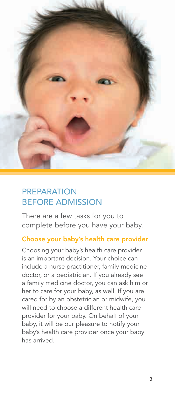

## PREPARATION BEFORE ADMISSION

There are a few tasks for you to complete before you have your baby.

#### Choose your baby's health care provider

Choosing your baby's health care provider is an important decision. Your choice can include a nurse practitioner, family medicine doctor, or a pediatrician. If you already see a family medicine doctor, you can ask him or her to care for your baby, as well. If you are cared for by an obstetrician or midwife, you will need to choose a different health care provider for your baby. On behalf of your baby, it will be our pleasure to notify your baby's health care provider once your baby has arrived.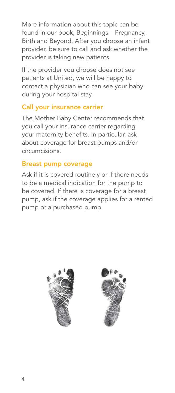More information about this topic can be found in our book, Beginnings – Pregnancy, Birth and Beyond. After you choose an infant provider, be sure to call and ask whether the provider is taking new patients.

If the provider you choose does not see patients at United, we will be happy to contact a physician who can see your baby during your hospital stay.

#### Call your insurance carrier

The Mother Baby Center recommends that you call your insurance carrier regarding your maternity benefits. In particular, ask about coverage for breast pumps and/or circumcisions.

#### Breast pump coverage

Ask if it is covered routinely or if there needs to be a medical indication for the pump to be covered. If there is coverage for a breast pump, ask if the coverage applies for a rented pump or a purchased pump.



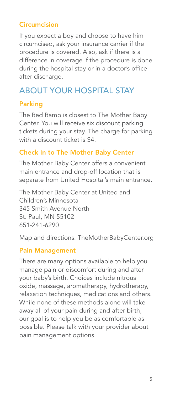## **Circumcision**

If you expect a boy and choose to have him circumcised, ask your insurance carrier if the procedure is covered. Also, ask if there is a difference in coverage if the procedure is done during the hospital stay or in a doctor's office after discharge.

## ABOUT YOUR HOSPITAL STAY

## Parking

The Red Ramp is closest to The Mother Baby Center. You will receive six discount parking tickets during your stay. The charge for parking with a discount ticket is \$4.

## Check In to The Mother Baby Center

The Mother Baby Center offers a convenient main entrance and drop-off location that is separate from United Hospital's main entrance.

The Mother Baby Center at United and Children's Minnesota 345 Smith Avenue North St. Paul, MN 55102 651-241-6290

Map and directions: TheMotherBabyCenter.org

## Pain Management

There are many options available to help you manage pain or discomfort during and after your baby's birth. Choices include nitrous oxide, massage, aromatherapy, hydrotherapy, relaxation techniques, medications and others. While none of these methods alone will take away all of your pain during and after birth, our goal is to help you be as comfortable as possible. Please talk with your provider about pain management options.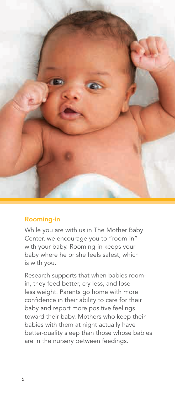

## Rooming-in

While you are with us in The Mother Baby Center, we encourage you to "room-in" with your baby. Rooming-in keeps your baby where he or she feels safest, which is with you.

Research supports that when babies roomin, they feed better, cry less, and lose less weight. Parents go home with more confidence in their ability to care for their baby and report more positive feelings toward their baby. Mothers who keep their babies with them at night actually have better-quality sleep than those whose babies are in the nursery between feedings.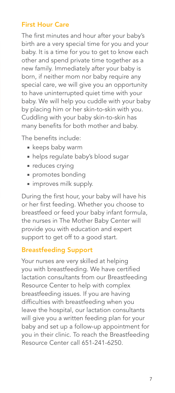## First Hour Care

The first minutes and hour after your baby's birth are a very special time for you and your baby. It is a time for you to get to know each other and spend private time together as a new family. Immediately after your baby is born, if neither mom nor baby require any special care, we will give you an opportunity to have uninterrupted quiet time with your baby. We will help you cuddle with your baby by placing him or her skin-to-skin with you. Cuddling with your baby skin-to-skin has many benefits for both mother and baby.

The benefits include:

- **keeps baby warm**
- helps regulate baby's blood sugar
- **reduces crying**
- **promotes bonding**
- improves milk supply.

During the first hour, your baby will have his or her first feeding. Whether you choose to breastfeed or feed your baby infant formula, the nurses in The Mother Baby Center will provide you with education and expert support to get off to a good start.

#### Breastfeeding Support

Your nurses are very skilled at helping you with breastfeeding. We have certified lactation consultants from our Breastfeeding Resource Center to help with complex breastfeeding issues. If you are having difficulties with breastfeeding when you leave the hospital, our lactation consultants will give you a written feeding plan for your baby and set up a follow-up appointment for you in their clinic. To reach the Breastfeeding Resource Center call 651-241-6250.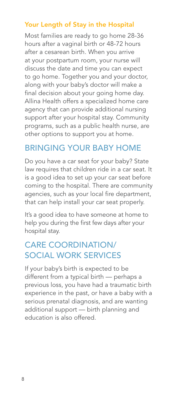## Your Length of Stay in the Hospital

Most families are ready to go home 28-36 hours after a vaginal birth or 48-72 hours after a cesarean birth. When you arrive at your postpartum room, your nurse will discuss the date and time you can expect to go home. Together you and your doctor, along with your baby's doctor will make a final decision about your going home day. Allina Health offers a specialized home care agency that can provide additional nursing support after your hospital stay. Community programs, such as a public health nurse, are other options to support you at home.

## BRINGING YOUR BABY HOME

Do you have a car seat for your baby? State law requires that children ride in a car seat. It is a good idea to set up your car seat before coming to the hospital. There are community agencies, such as your local fire department, that can help install your car seat properly.

It's a good idea to have someone at home to help you during the first few days after your hospital stay.

## CARE COORDINATION/ SOCIAL WORK SERVICES

If your baby's birth is expected to be different from a typical birth — perhaps a previous loss, you have had a traumatic birth experience in the past, or have a baby with a serious prenatal diagnosis, and are wanting additional support — birth planning and education is also offered.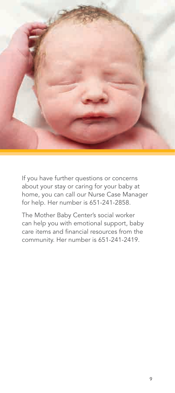

If you have further questions or concerns about your stay or caring for your baby at home, you can call our Nurse Case Manager for help. Her number is 651-241-2858.

The Mother Baby Center's social worker can help you with emotional support, baby care items and financial resources from the community. Her number is 651-241-2419.